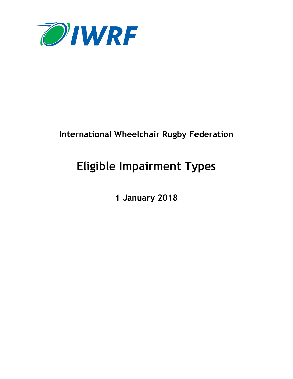

# **International Wheelchair Rugby Federation**

# **Eligible Impairment Types**

**1 January 2018**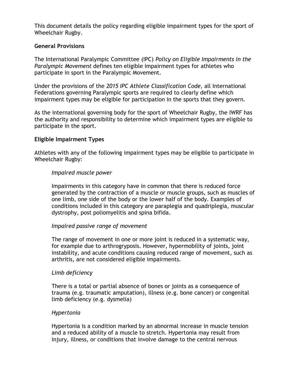This document details the policy regarding eligible impairment types for the sport of Wheelchair Rugby.

#### **General Provisions**

The International Paralympic Committee (IPC) *Policy on Eligible Impairments in the Paralympic Movement* defines ten eligible impairment types for athletes who participate in sport in the Paralympic Movement.

Under the provisions of the *2015 IPC Athlete Classification Code*, all International Federations governing Paralympic sports are required to clearly define which impairment types may be eligible for participation in the sports that they govern.

As the international governing body for the sport of Wheelchair Rugby, the IWRF has the authority and responsibility to determine which impairment types are eligible to participate in the sport.

# **Eligible Impairment Types**

Athletes with any of the following impairment types may be eligible to participate in Wheelchair Rugby:

#### *Impaired muscle power*

Impairments in this category have in common that there is reduced force generated by the contraction of a muscle or muscle groups, such as muscles of one limb, one side of the body or the lower half of the body. Examples of conditions included in this category are paraplegia and quadriplegia, muscular dystrophy, post poliomyelitis and spina bifida.

#### *Impaired passive range of movement*

The range of movement in one or more joint is reduced in a systematic way, for example due to arthrogryposis. However, hypermobility of joints, joint instability, and acute conditions causing reduced range of movement, such as arthritis, are not considered eligible impairments.

#### *Limb deficiency*

There is a total or partial absence of bones or joints as a consequence of trauma (e.g. traumatic amputation), illness (e.g. bone cancer) or congenital limb deficiency (e.g. dysmelia)

#### *Hypertonia*

Hypertonia is a condition marked by an abnormal increase in muscle tension and a reduced ability of a muscle to stretch. Hypertonia may result from injury, illness, or conditions that involve damage to the central nervous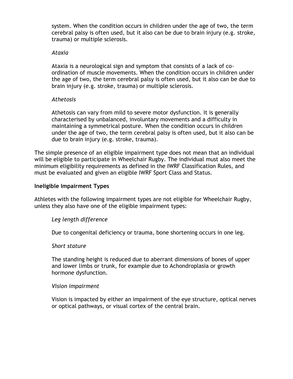system. When the condition occurs in children under the age of two, the term cerebral palsy is often used, but it also can be due to brain injury (e.g. stroke, trauma) or multiple sclerosis.

#### *Ataxia*

Ataxia is a neurological sign and symptom that consists of a lack of coordination of muscle movements. When the condition occurs in children under the age of two, the term cerebral palsy is often used, but it also can be due to brain injury (e.g. stroke, trauma) or multiple sclerosis.

#### *Athetosis*

Athetosis can vary from mild to severe motor dysfunction. It is generally characterised by unbalanced, involuntary movements and a difficulty in maintaining a symmetrical posture. When the condition occurs in children under the age of two, the term cerebral palsy is often used, but it also can be due to brain injury (e.g. stroke, trauma).

The simple presence of an eligible impairment type does not mean that an individual will be eligible to participate in Wheelchair Rugby. The individual must also meet the minimum eligibility requirements as defined in the IWRF Classification Rules, and must be evaluated and given an eligible IWRF Sport Class and Status.

#### **Ineligible Impairment Types**

Athletes with the following impairment types are not eligible for Wheelchair Rugby, unless they also have one of the eligible impairment types:

#### *Leg length difference*

Due to congenital deficiency or trauma, bone shortening occurs in one leg.

#### *Short stature*

The standing height is reduced due to aberrant dimensions of bones of upper and lower limbs or trunk, for example due to Achondroplasia or growth hormone dysfunction.

#### *Vision impairment*

Vision is impacted by either an impairment of the eye structure, optical nerves or optical pathways, or visual cortex of the central brain.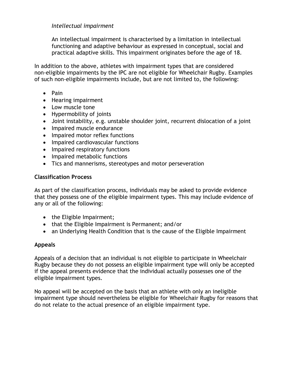#### *Intellectual impairment*

An intellectual impairment is characterised by a limitation in intellectual functioning and adaptive behaviour as expressed in conceptual, social and practical adaptive skills. This impairment originates before the age of 18.

In addition to the above, athletes with impairment types that are considered non-eligible impairments by the IPC are not eligible for Wheelchair Rugby. Examples of such non-eligible impairments include, but are not limited to, the following:

- Pain
- Hearing impairment
- Low muscle tone
- Hypermobility of joints
- Joint instability, e.g. unstable shoulder joint, recurrent dislocation of a joint
- Impaired muscle endurance
- Impaired motor reflex functions
- Impaired cardiovascular functions
- Impaired respiratory functions
- Impaired metabolic functions
- Tics and mannerisms, stereotypes and motor perseveration

# **Classification Process**

As part of the classification process, individuals may be asked to provide evidence that they possess one of the eligible impairment types. This may include evidence of any or all of the following:

- the Eligible Impairment;
- that the Eligible Impairment is Permanent; and/or
- an Underlying Health Condition that is the cause of the Eligible Impairment

# **Appeals**

Appeals of a decision that an individual is not eligible to participate in Wheelchair Rugby because they do not possess an eligible impairment type will only be accepted if the appeal presents evidence that the individual actually possesses one of the eligible impairment types.

No appeal will be accepted on the basis that an athlete with only an ineligible impairment type should nevertheless be eligible for Wheelchair Rugby for reasons that do not relate to the actual presence of an eligible impairment type.